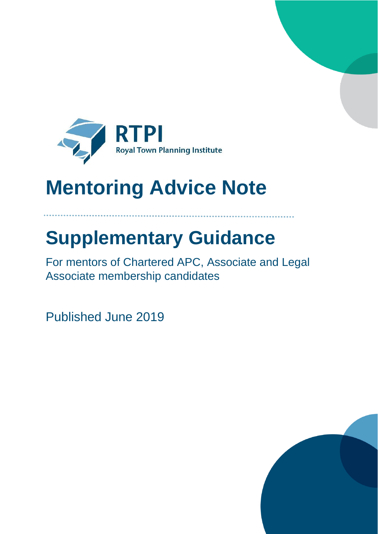

# **Mentoring Advice Note**

# **Supplementary Guidance**

For mentors of Chartered APC, Associate and Legal Associate membership candidates

Published June 2019

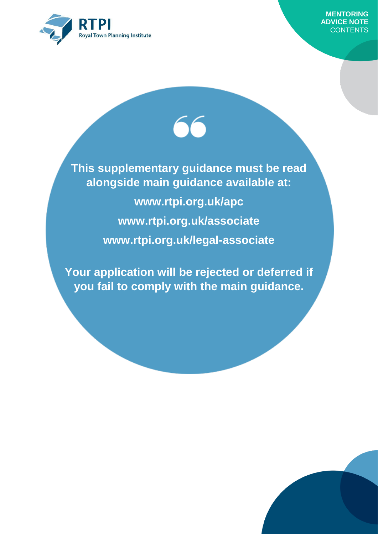

**This supplementary guidance must be read alongside main guidance available at: www.rtpi.org.uk/apc www.rtpi.org.uk/associate www.rtpi.org.uk/legal-associate**

**Your application will be rejected or deferred if you fail to comply with the main guidance.**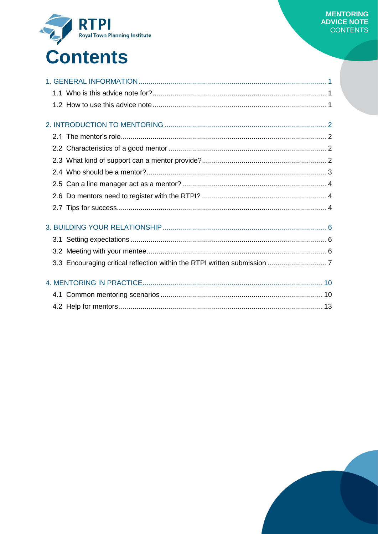

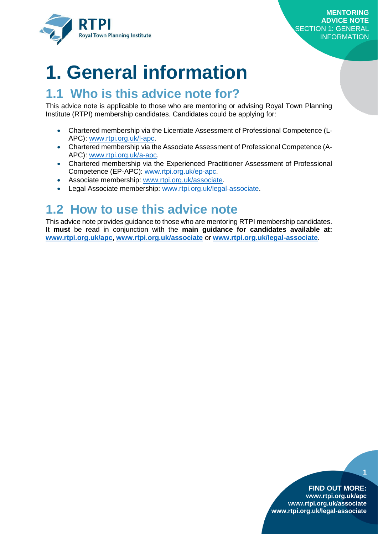

## <span id="page-3-0"></span>**1. General information**

### <span id="page-3-1"></span>**1.1 Who is this advice note for?**

This advice note is applicable to those who are mentoring or advising Royal Town Planning Institute (RTPI) membership candidates. Candidates could be applying for:

- Chartered membership via the Licentiate Assessment of Professional Competence (L-APC): [www.rtpi.org.uk/l-apc.](http://www.rtpi.org.uk/l-apc)
- Chartered membership via the Associate Assessment of Professional Competence (A-APC): [www.rtpi.org.uk/a-apc.](http://www.rtpi.org.uk/a-apc)
- Chartered membership via the Experienced Practitioner Assessment of Professional Competence (EP-APC): www.rtpi.org.uk/ep-apc.
- Associate membership: [www.rtpi.org.uk/associate.](http://www.rtpi.org.uk/associate)
- Legal Associate membership: [www.rtpi.org.uk/legal-associate.](http://www.rtpi.org.uk/legal-associate)

## <span id="page-3-2"></span>**1.2 How to use this advice note**

This advice note provides guidance to those who are mentoring RTPI membership candidates. It **must** be read in conjunction with the **main guidance for candidates available at: [www.rtpi.org.uk/apc](http://www.rtpi.org.uk/apc)**, **[www.rtpi.org.uk/associate](http://www.rtpi.org.uk/associate)** or **[www.rtpi.org.uk/legal-associate](http://www.rtpi.org.uk/legal-associate)**.

#### **FIND OUT MORE:**

**1**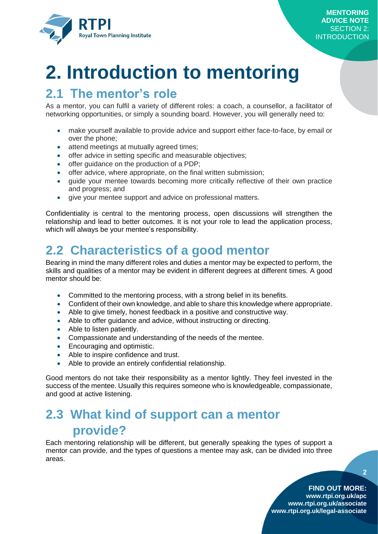

# <span id="page-4-0"></span>**2. Introduction to mentoring**

### <span id="page-4-1"></span>**2.1 The mentor's role**

As a mentor, you can fulfil a variety of different roles: a coach, a counsellor, a facilitator of networking opportunities, or simply a sounding board. However, you will generally need to:

- make yourself available to provide advice and support either face-to-face, by email or over the phone;
- attend meetings at mutually agreed times;
- offer advice in setting specific and measurable objectives;
- offer quidance on the production of a PDP;
- offer advice, where appropriate, on the final written submission;
- guide your mentee towards becoming more critically reflective of their own practice and progress; and
- give your mentee support and advice on professional matters.

Confidentiality is central to the mentoring process, open discussions will strengthen the relationship and lead to better outcomes. It is not your role to lead the application process, which will always be your mentee's responsibility.

## <span id="page-4-2"></span>**2.2 Characteristics of a good mentor**

Bearing in mind the many different roles and duties a mentor may be expected to perform, the skills and qualities of a mentor may be evident in different degrees at different times. A good mentor should be:

- Committed to the mentoring process, with a strong belief in its benefits.
- Confident of their own knowledge, and able to share this knowledge where appropriate.
- Able to give timely, honest feedback in a positive and constructive way.
- Able to offer guidance and advice, without instructing or directing.
- Able to listen patiently.
- Compassionate and understanding of the needs of the mentee.
- **Encouraging and optimistic.**
- Able to inspire confidence and trust.
- Able to provide an entirely confidential relationship.

Good mentors do not take their responsibility as a mentor lightly. They feel invested in the success of the mentee. Usually this requires someone who is knowledgeable, compassionate, and good at active listening.

### <span id="page-4-3"></span>**2.3 What kind of support can a mentor provide?**

Each mentoring relationship will be different, but generally speaking the types of support a mentor can provide, and the types of questions a mentee may ask, can be divided into three areas.

**FIND OUT MORE:**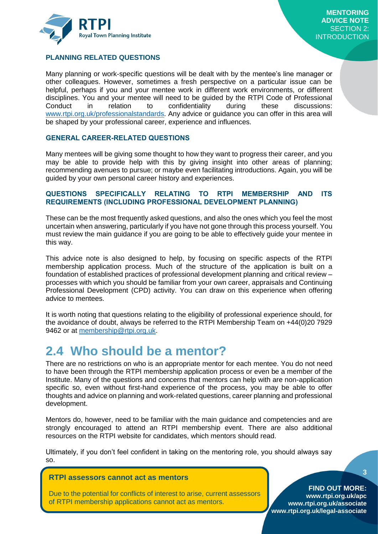

#### **PLANNING RELATED QUESTIONS**

Many planning or work-specific questions will be dealt with by the mentee's line manager or other colleagues. However, sometimes a fresh perspective on a particular issue can be helpful, perhaps if you and your mentee work in different work environments, or different disciplines. You and your mentee will need to be guided by the RTPI Code of Professional Conduct in relation to confidentiality during these discussions: [www.rtpi.org.uk/professionalstandards.](http://www.rtpi.org.uk/professionalstandards) Any advice or guidance you can offer in this area will be shaped by your professional career, experience and influences.

#### **GENERAL CAREER-RELATED QUESTIONS**

Many mentees will be giving some thought to how they want to progress their career, and you may be able to provide help with this by giving insight into other areas of planning; recommending avenues to pursue; or maybe even facilitating introductions. Again, you will be guided by your own personal career history and experiences.

#### **QUESTIONS SPECIFICALLY RELATING TO RTPI MEMBERSHIP AND ITS REQUIREMENTS (INCLUDING PROFESSIONAL DEVELOPMENT PLANNING)**

These can be the most frequently asked questions, and also the ones which you feel the most uncertain when answering, particularly if you have not gone through this process yourself. You must review the main guidance if you are going to be able to effectively guide your mentee in this way.

This advice note is also designed to help, by focusing on specific aspects of the RTPI membership application process. Much of the structure of the application is built on a foundation of established practices of professional development planning and critical review – processes with which you should be familiar from your own career, appraisals and Continuing Professional Development (CPD) activity. You can draw on this experience when offering advice to mentees.

It is worth noting that questions relating to the eligibility of professional experience should, for the avoidance of doubt, always be referred to the RTPI Membership Team on +44(0)20 7929 9462 or at [membership@rtpi.org.uk.](mailto:membership@rtpi.org.uk)

### <span id="page-5-0"></span>**2.4 Who should be a mentor?**

There are no restrictions on who is an appropriate mentor for each mentee. You do not need to have been through the RTPI membership application process or even be a member of the Institute. Many of the questions and concerns that mentors can help with are non-application specific so, even without first-hand experience of the process, you may be able to offer thoughts and advice on planning and work-related questions, career planning and professional development.

Mentors do, however, need to be familiar with the main guidance and competencies and are strongly encouraged to attend an RTPI membership event. There are also additional resources on the RTPI website for candidates, which mentors should read.

Ultimately, if you don't feel confident in taking on the mentoring role, you should always say so.

#### **RTPI assessors cannot act as mentors**

Due to the potential for conflicts of interest to arise, current assessors of RTPI membership applications cannot act as mentors.

**FIND OUT MORE: www.rtpi.org.uk/apc www.rtpi.org.uk/associate www.rtpi.org.uk/legal-associate**

#### **3**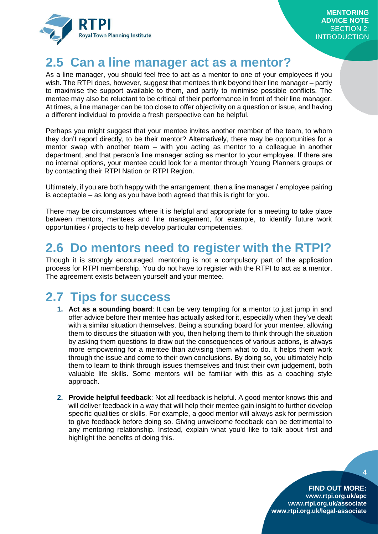

## <span id="page-6-0"></span>**2.5 Can a line manager act as a mentor?**

As a line manager, you should feel free to act as a mentor to one of your employees if you wish. The RTPI does, however, suggest that mentees think beyond their line manager – partly to maximise the support available to them, and partly to minimise possible conflicts. The mentee may also be reluctant to be critical of their performance in front of their line manager. At times, a line manager can be too close to offer objectivity on a question or issue, and having a different individual to provide a fresh perspective can be helpful.

Perhaps you might suggest that your mentee invites another member of the team, to whom they don't report directly, to be their mentor? Alternatively, there may be opportunities for a mentor swap with another team – with you acting as mentor to a colleague in another department, and that person's line manager acting as mentor to your employee. If there are no internal options, your mentee could look for a mentor through Young Planners groups or by contacting their RTPI Nation or RTPI Region.

Ultimately, if you are both happy with the arrangement, then a line manager / employee pairing is acceptable – as long as you have both agreed that this is right for you.

There may be circumstances where it is helpful and appropriate for a meeting to take place between mentors, mentees and line management, for example, to identify future work opportunities / projects to help develop particular competencies.

### <span id="page-6-1"></span>**2.6 Do mentors need to register with the RTPI?**

Though it is strongly encouraged, mentoring is not a compulsory part of the application process for RTPI membership. You do not have to register with the RTPI to act as a mentor. The agreement exists between yourself and your mentee.

## <span id="page-6-2"></span>**2.7 Tips for success**

- **1. Act as a sounding board**: It can be very tempting for a mentor to just jump in and offer advice before their mentee has actually asked for it, especially when they've dealt with a similar situation themselves. Being a sounding board for your mentee, allowing them to discuss the situation with you, then helping them to think through the situation by asking them questions to draw out the consequences of various actions, is always more empowering for a mentee than advising them what to do. It helps them work through the issue and come to their own conclusions. By doing so, you ultimately help them to learn to think through issues themselves and trust their own judgement, both valuable life skills. Some mentors will be familiar with this as a coaching style approach.
- **2. Provide helpful feedback**: Not all feedback is helpful. A good mentor knows this and will deliver feedback in a way that will help their mentee gain insight to further develop specific qualities or skills. For example, a good mentor will always ask for permission to give feedback before doing so. Giving unwelcome feedback can be detrimental to any mentoring relationship. Instead, explain what you'd like to talk about first and highlight the benefits of doing this.

**FIND OUT MORE: www.rtpi.org.uk/apc www.rtpi.org.uk/associate www.rtpi.org.uk/legal-associate**

**4**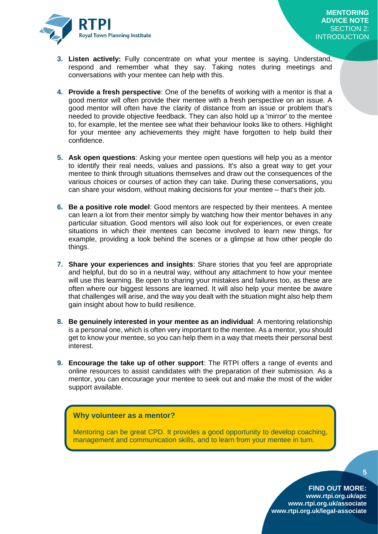

- **3. Listen actively:** Fully concentrate on what your mentee is saying. Understand, respond and remember what they say. Taking notes during meetings and conversations with your mentee can help with this.
- **4. Provide a fresh perspective**: One of the benefits of working with a mentor is that a good mentor will often provide their mentee with a fresh perspective on an issue. A good mentor will often have the clarity of distance from an issue or problem that's needed to provide objective feedback. They can also hold up a 'mirror' to the mentee to, for example, let the mentee see what their behaviour looks like to others. Highlight for your mentee any achievements they might have forgotten to help build their confidence.
- **5. Ask open questions**: Asking your mentee open questions will help you as a mentor to identify their real needs, values and passions. It's also a great way to get your mentee to think through situations themselves and draw out the consequences of the various choices or courses of action they can take. During these conversations, you can share your wisdom, without making decisions for your mentee – that's their job.
- **6. Be a positive role model**: Good mentors are respected by their mentees. A mentee can learn a lot from their mentor simply by watching how their mentor behaves in any particular situation. Good mentors will also look out for experiences, or even create situations in which their mentees can become involved to learn new things, for example, providing a look behind the scenes or a glimpse at how other people do things.
- **7. Share your experiences and insights**: Share stories that you feel are appropriate and helpful, but do so in a neutral way, without any attachment to how your mentee will use this learning. Be open to sharing your mistakes and failures too, as these are often where our biggest lessons are learned. It will also help your mentee be aware that challenges will arise, and the way you dealt with the situation might also help them gain insight about how to build resilience.
- **8. Be genuinely interested in your mentee as an individual**: A mentoring relationship is a personal one, which is often very important to the mentee. As a mentor, you should get to know your mentee, so you can help them in a way that meets their personal best interest.
- **9. Encourage the take up of other support**: The RTPI offers a range of events and online resources to assist candidates with the preparation of their submission. As a mentor, you can encourage your mentee to seek out and make the most of the wider support available.

#### **Why volunteer as a mentor?**

Mentoring can be great CPD. It provides a good opportunity to develop coaching, management and communication skills, and to learn from your mentee in turn.

**5**

**FIND OUT MORE:**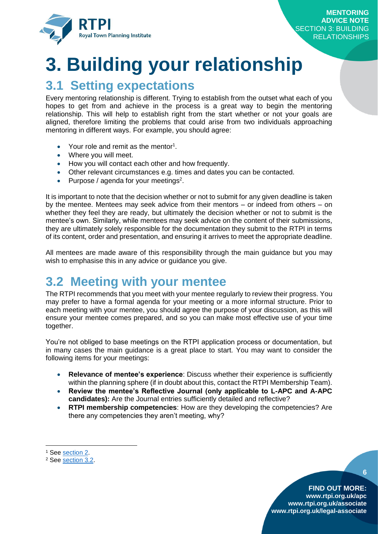

# <span id="page-8-0"></span>**3. Building your relationship**

### <span id="page-8-1"></span>**3.1 Setting expectations**

Every mentoring relationship is different. Trying to establish from the outset what each of you hopes to get from and achieve in the process is a great way to begin the mentoring relationship. This will help to establish right from the start whether or not your goals are aligned, therefore limiting the problems that could arise from two individuals approaching mentoring in different ways. For example, you should agree:

- Your role and remit as the mentor<sup>1</sup>.
- Where you will meet.
- How you will contact each other and how frequently.
- Other relevant circumstances e.g. times and dates you can be contacted.
- Purpose / agenda for your meetings<sup>2</sup>.

It is important to note that the decision whether or not to submit for any given deadline is taken by the mentee. Mentees may seek advice from their mentors – or indeed from others – on whether they feel they are ready, but ultimately the decision whether or not to submit is the mentee's own. Similarly, while mentees may seek advice on the content of their submissions, they are ultimately solely responsible for the documentation they submit to the RTPI in terms of its content, order and presentation, and ensuring it arrives to meet the appropriate deadline.

All mentees are made aware of this responsibility through the main guidance but you may wish to emphasise this in any advice or guidance you give.

### <span id="page-8-2"></span>**3.2 Meeting with your mentee**

The RTPI recommends that you meet with your mentee regularly to review their progress. You may prefer to have a formal agenda for your meeting or a more informal structure. Prior to each meeting with your mentee, you should agree the purpose of your discussion, as this will ensure your mentee comes prepared, and so you can make most effective use of your time together.

You're not obliged to base meetings on the RTPI application process or documentation, but in many cases the main guidance is a great place to start. You may want to consider the following items for your meetings:

- **Relevance of mentee's experience**: Discuss whether their experience is sufficiently within the planning sphere (if in doubt about this, contact the RTPI Membership Team).
- **Review the mentee's Reflective Journal (only applicable to L-APC and A-APC candidates):** Are the Journal entries sufficiently detailed and reflective?
- **RTPI membership competencies**: How are they developing the competencies? Are there any competencies they aren't meeting, why?

**.** 

**6**

<sup>&</sup>lt;sup>1</sup> See [section 2.](#page-4-0)

<sup>2</sup> See [section 3.2.](#page-8-2)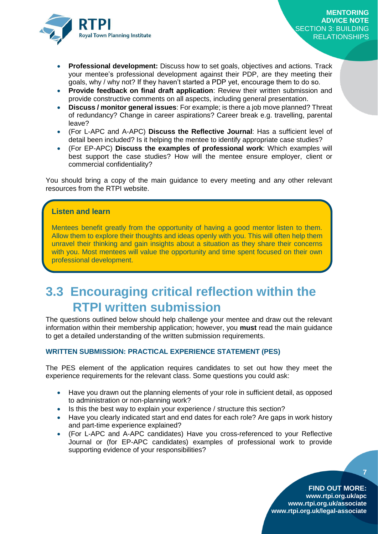

- **Professional development:** Discuss how to set goals, objectives and actions. Track your mentee's professional development against their PDP, are they meeting their goals, why / why not? If they haven't started a PDP yet, encourage them to do so.
- **Provide feedback on final draft application**: Review their written submission and provide constructive comments on all aspects, including general presentation.
- **Discuss / monitor general issues**: For example; is there a job move planned? Threat of redundancy? Change in career aspirations? Career break e.g. travelling, parental leave?
- (For L-APC and A-APC) **Discuss the Reflective Journal**: Has a sufficient level of detail been included? Is it helping the mentee to identify appropriate case studies?
- (For EP-APC) **Discuss the examples of professional work**: Which examples will best support the case studies? How will the mentee ensure employer, client or commercial confidentiality?

You should bring a copy of the main guidance to every meeting and any other relevant resources from the RTPI website.

#### **Listen and learn**

Mentees benefit greatly from the opportunity of having a good mentor listen to them. Allow them to explore their thoughts and ideas openly with you. This will often help them unravel their thinking and gain insights about a situation as they share their concerns with you. Most mentees will value the opportunity and time spent focused on their own professional development.

### <span id="page-9-0"></span>**3.3 Encouraging critical reflection within the RTPI written submission**

The questions outlined below should help challenge your mentee and draw out the relevant information within their membership application; however, you **must** read the main guidance to get a detailed understanding of the written submission requirements.

#### **WRITTEN SUBMISSION: PRACTICAL EXPERIENCE STATEMENT (PES)**

The PES element of the application requires candidates to set out how they meet the experience requirements for the relevant class. Some questions you could ask:

- Have you drawn out the planning elements of your role in sufficient detail, as opposed to administration or non-planning work?
- Is this the best way to explain your experience / structure this section?
- Have you clearly indicated start and end dates for each role? Are gaps in work history and part-time experience explained?
- (For L-APC and A-APC candidates) Have you cross-referenced to your Reflective Journal or (for EP-APC candidates) examples of professional work to provide supporting evidence of your responsibilities?

**7**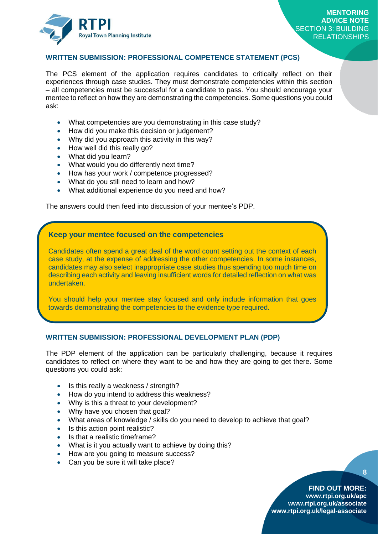

#### **WRITTEN SUBMISSION: PROFESSIONAL COMPETENCE STATEMENT (PCS)**

The PCS element of the application requires candidates to critically reflect on their experiences through case studies. They must demonstrate competencies within this section – all competencies must be successful for a candidate to pass. You should encourage your mentee to reflect on how they are demonstrating the competencies. Some questions you could ask:

- What competencies are you demonstrating in this case study?
- How did you make this decision or judgement?
- Why did you approach this activity in this way?
- How well did this really go?
- What did you learn?
- What would you do differently next time?
- How has your work / competence progressed?
- What do you still need to learn and how?
- What additional experience do you need and how?

The answers could then feed into discussion of your mentee's PDP.

#### **Keep your mentee focused on the competencies**

Candidates often spend a great deal of the word count setting out the context of each case study, at the expense of addressing the other competencies. In some instances, candidates may also select inappropriate case studies thus spending too much time on describing each activity and leaving insufficient words for detailed reflection on what was undertaken.

You should help your mentee stay focused and only include information that goes towards demonstrating the competencies to the evidence type required.

#### **WRITTEN SUBMISSION: PROFESSIONAL DEVELOPMENT PLAN (PDP)**

The PDP element of the application can be particularly challenging, because it requires candidates to reflect on where they want to be and how they are going to get there. Some questions you could ask:

- Is this really a weakness / strength?
- How do you intend to address this weakness?
- Why is this a threat to your development?
- Why have you chosen that goal?
- What areas of knowledge / skills do you need to develop to achieve that goal?
- Is this action point realistic?
- Is that a realistic timeframe?
- What is it you actually want to achieve by doing this?
- How are you going to measure success?
- Can you be sure it will take place?

#### **FIND OUT MORE:**

**8**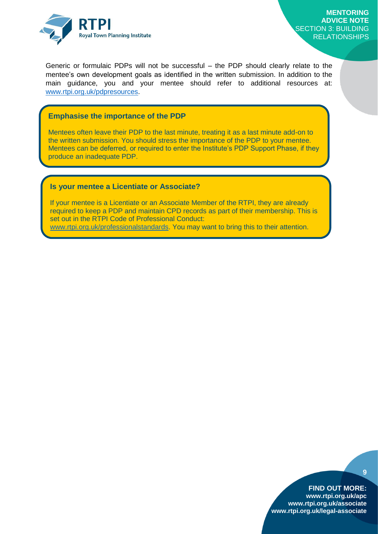

Generic or formulaic PDPs will not be successful – the PDP should clearly relate to the mentee's own development goals as identified in the written submission. In addition to the main guidance, you and your mentee should refer to additional resources at: [www.rtpi.org.uk/pdpresources.](http://www.rtpi.org.uk/pdpresources)

#### **Emphasise the importance of the PDP**

Mentees often leave their PDP to the last minute, treating it as a last minute add-on to the written submission. You should stress the importance of the PDP to your mentee. Mentees can be deferred, or required to enter the Institute's PDP Support Phase, if they produce an inadequate PDP.

#### **Is your mentee a Licentiate or Associate?**

If your mentee is a Licentiate or an Associate Member of the RTPI, they are already required to keep a PDP and maintain CPD records as part of their membership. This is set out in the RTPI Code of Professional Conduct:

[www.rtpi.org.uk/professionalstandards.](http://www.rtpi.org.uk/professionalstandards) You may want to bring this to their attention.

#### **FIND OUT MORE:**

**9**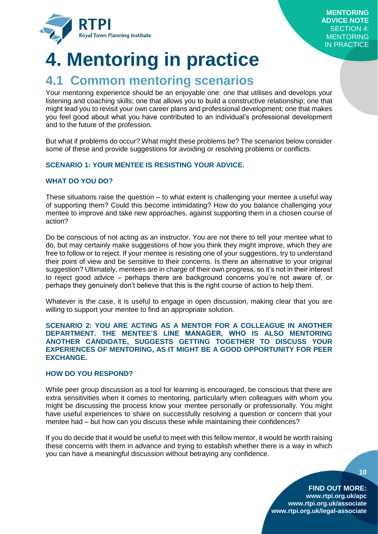

# <span id="page-12-0"></span>**4. Mentoring in practice**

### <span id="page-12-1"></span>**4.1 Common mentoring scenarios**

Your mentoring experience should be an enjoyable one: one that utilises and develops your listening and coaching skills; one that allows you to build a constructive relationship; one that might lead you to revisit your own career plans and professional development; one that makes you feel good about what you have contributed to an individual's professional development and to the future of the profession.

But what if problems do occur? What might these problems be? The scenarios below consider some of these and provide suggestions for avoiding or resolving problems or conflicts.

#### **SCENARIO 1: YOUR MENTEE IS RESISTING YOUR ADVICE.**

#### **WHAT DO YOU DO?**

These situations raise the question – to what extent is challenging your mentee a useful way of supporting them? Could this become intimidating? How do you balance challenging your mentee to improve and take new approaches, against supporting them in a chosen course of action?

Do be conscious of not acting as an instructor. You are not there to tell your mentee what to do, but may certainly make suggestions of how you think they might improve, which they are free to follow or to reject. If your mentee is resisting one of your suggestions, try to understand their point of view and be sensitive to their concerns. Is there an alternative to your original suggestion? Ultimately, mentees are in charge of their own progress, so it's not in their interest to reject good advice – perhaps there are background concerns you're not aware of, or perhaps they genuinely don't believe that this is the right course of action to help them.

Whatever is the case, it is useful to engage in open discussion, making clear that you are willing to support your mentee to find an appropriate solution.

#### **SCENARIO 2: YOU ARE ACTING AS A MENTOR FOR A COLLEAGUE IN ANOTHER DEPARTMENT. THE MENTEE'S LINE MANAGER, WHO IS ALSO MENTORING ANOTHER CANDIDATE, SUGGESTS GETTING TOGETHER TO DISCUSS YOUR EXPERIENCES OF MENTORING, AS IT MIGHT BE A GOOD OPPORTUNITY FOR PEER EXCHANGE.**

#### **HOW DO YOU RESPOND?**

While peer group discussion as a tool for learning is encouraged, be conscious that there are extra sensitivities when it comes to mentoring, particularly when colleagues with whom you might be discussing the process know your mentee personally or professionally. You might have useful experiences to share on successfully resolving a question or concern that your mentee had – but how can you discuss these while maintaining their confidences?

If you do decide that it would be useful to meet with this fellow mentor, it would be worth raising these concerns with them in advance and trying to establish whether there is a way in which you can have a meaningful discussion without betraying any confidence.

**10**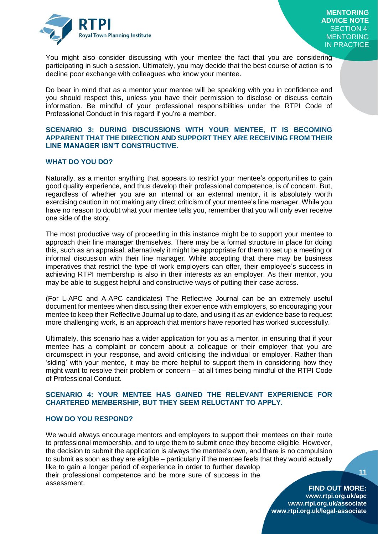

You might also consider discussing with your mentee the fact that you are considering participating in such a session. Ultimately, you may decide that the best course of action is to decline poor exchange with colleagues who know your mentee.

Do bear in mind that as a mentor your mentee will be speaking with you in confidence and you should respect this, unless you have their permission to disclose or discuss certain information. Be mindful of your professional responsibilities under the RTPI Code of Professional Conduct in this regard if you're a member.

#### **SCENARIO 3: DURING DISCUSSIONS WITH YOUR MENTEE, IT IS BECOMING APPARENT THAT THE DIRECTION AND SUPPORT THEY ARE RECEIVING FROM THEIR LINE MANAGER ISN'T CONSTRUCTIVE.**

#### **WHAT DO YOU DO?**

Naturally, as a mentor anything that appears to restrict your mentee's opportunities to gain good quality experience, and thus develop their professional competence, is of concern. But, regardless of whether you are an internal or an external mentor, it is absolutely worth exercising caution in not making any direct criticism of your mentee's line manager. While you have no reason to doubt what your mentee tells you, remember that you will only ever receive one side of the story.

The most productive way of proceeding in this instance might be to support your mentee to approach their line manager themselves. There may be a formal structure in place for doing this, such as an appraisal; alternatively it might be appropriate for them to set up a meeting or informal discussion with their line manager. While accepting that there may be business imperatives that restrict the type of work employers can offer, their employee's success in achieving RTPI membership is also in their interests as an employer. As their mentor, you may be able to suggest helpful and constructive ways of putting their case across.

(For L-APC and A-APC candidates) The Reflective Journal can be an extremely useful document for mentees when discussing their experience with employers, so encouraging your mentee to keep their Reflective Journal up to date, and using it as an evidence base to request more challenging work, is an approach that mentors have reported has worked successfully.

Ultimately, this scenario has a wider application for you as a mentor, in ensuring that if your mentee has a complaint or concern about a colleague or their employer that you are circumspect in your response, and avoid criticising the individual or employer. Rather than 'siding' with your mentee, it may be more helpful to support them in considering how they might want to resolve their problem or concern – at all times being mindful of the RTPI Code of Professional Conduct.

#### **SCENARIO 4: YOUR MENTEE HAS GAINED THE RELEVANT EXPERIENCE FOR CHARTERED MEMBERSHIP, BUT THEY SEEM RELUCTANT TO APPLY.**

#### **HOW DO YOU RESPOND?**

We would always encourage mentors and employers to support their mentees on their route to professional membership, and to urge them to submit once they become eligible. However, the decision to submit the application is always the mentee's own, and there is no compulsion to submit as soon as they are eligible – particularly if the mentee feels that they would actually like to gain a longer period of experience in order to further develop their professional competence and be more sure of success in the assessment.

**11**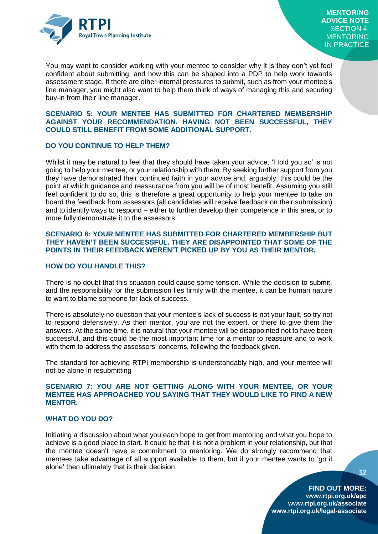

You may want to consider working with your mentee to consider why it is they don't yet feel confident about submitting, and how this can be shaped into a PDP to help work towards assessment stage. If there are other internal pressures to submit, such as from your mentee's line manager, you might also want to help them think of ways of managing this and securing buy-in from their line manager.

#### **SCENARIO 5: YOUR MENTEE HAS SUBMITTED FOR CHARTERED MEMBERSHIP AGAINST YOUR RECOMMENDATION. HAVING NOT BEEN SUCCESSFUL, THEY COULD STILL BENEFIT FROM SOME ADDITIONAL SUPPORT.**

#### **DO YOU CONTINUE TO HELP THEM?**

Whilst it may be natural to feel that they should have taken your advice, 'I told you so' is not going to help your mentee, or your relationship with them. By seeking further support from you they have demonstrated their continued faith in your advice and, arguably, this could be the point at which guidance and reassurance from you will be of most benefit. Assuming you still feel confident to do so, this is therefore a great opportunity to help your mentee to take on board the feedback from assessors (all candidates will receive feedback on their submission) and to identify ways to respond – either to further develop their competence in this area, or to more fully demonstrate it to the assessors.

#### **SCENARIO 6: YOUR MENTEE HAS SUBMITTED FOR CHARTERED MEMBERSHIP BUT THEY HAVEN'T BEEN SUCCESSFUL. THEY ARE DISAPPOINTED THAT SOME OF THE POINTS IN THEIR FEEDBACK WEREN'T PICKED UP BY YOU AS THEIR MENTOR.**

#### **HOW DO YOU HANDLE THIS?**

There is no doubt that this situation could cause some tension. While the decision to submit, and the responsibility for the submission lies firmly with the mentee, it can be human nature to want to blame someone for lack of success.

There is absolutely no question that your mentee's lack of success is not your fault, so try not to respond defensively. As their mentor, you are not the expert, or there to give them the answers. At the same time, it is natural that your mentee will be disappointed not to have been successful, and this could be the most important time for a mentor to reassure and to work with them to address the assessors' concerns, following the feedback given.

The standard for achieving RTPI membership is understandably high, and your mentee will not be alone in resubmitting

#### **SCENARIO 7: YOU ARE NOT GETTING ALONG WITH YOUR MENTEE, OR YOUR MENTEE HAS APPROACHED YOU SAYING THAT THEY WOULD LIKE TO FIND A NEW MENTOR.**

#### **WHAT DO YOU DO?**

Initiating a discussion about what you each hope to get from mentoring and what you hope to achieve is a good place to start. It could be that it is not a problem in your relationship, but that the mentee doesn't have a commitment to mentoring. We do strongly recommend that mentees take advantage of all support available to them, but if your mentee wants to 'go it alone' then ultimately that is their decision.

**12**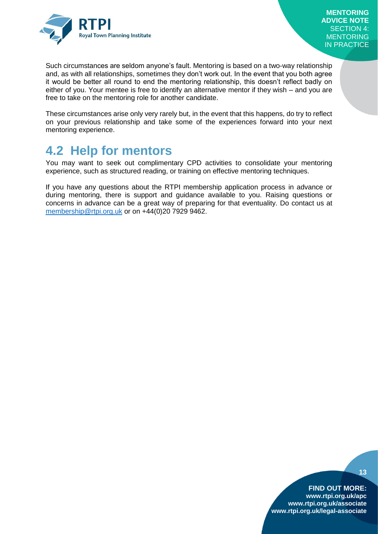

Such circumstances are seldom anyone's fault. Mentoring is based on a two-way relationship and, as with all relationships, sometimes they don't work out. In the event that you both agree it would be better all round to end the mentoring relationship, this doesn't reflect badly on either of you. Your mentee is free to identify an alternative mentor if they wish – and you are free to take on the mentoring role for another candidate.

These circumstances arise only very rarely but, in the event that this happens, do try to reflect on your previous relationship and take some of the experiences forward into your next mentoring experience.

### <span id="page-15-0"></span>**4.2 Help for mentors**

You may want to seek out complimentary CPD activities to consolidate your mentoring experience, such as structured reading, or training on effective mentoring techniques.

If you have any questions about the RTPI membership application process in advance or during mentoring, there is support and guidance available to you. Raising questions or concerns in advance can be a great way of preparing for that eventuality. Do contact us at [membership@rtpi.org.uk](mailto:membership@rtpi.org.uk) or on +44(0)20 7929 9462.

#### **13**